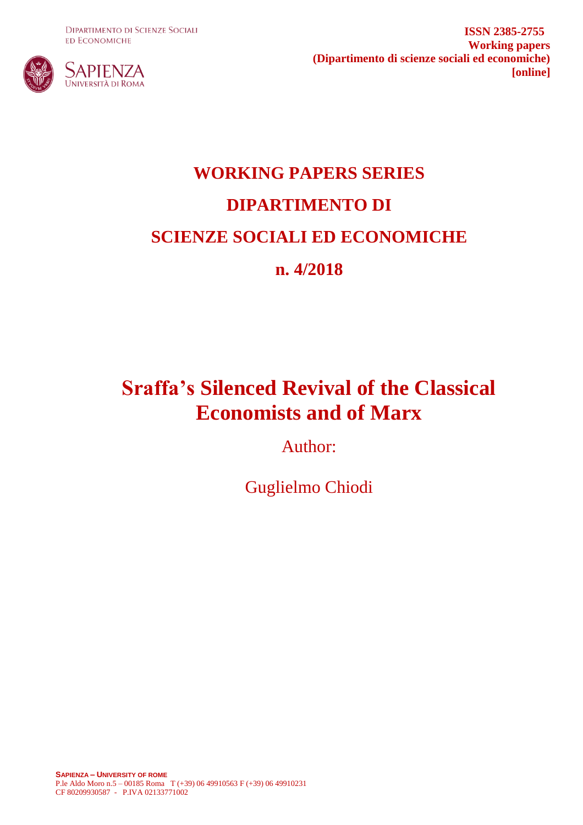**DIPARTIMENTO DI SCIENZE SOCIALI ED ECONOMICHE** 



**ISSN 2385-2755 Working papers (Dipartimento di scienze sociali ed economiche) [online]**

# **WORKING PAPERS SERIES DIPARTIMENTO DI SCIENZE SOCIALI ED ECONOMICHE n. 4/2018**

## **Sraffa's Silenced Revival of the Classical Economists and of Marx**

Author:

Guglielmo Chiodi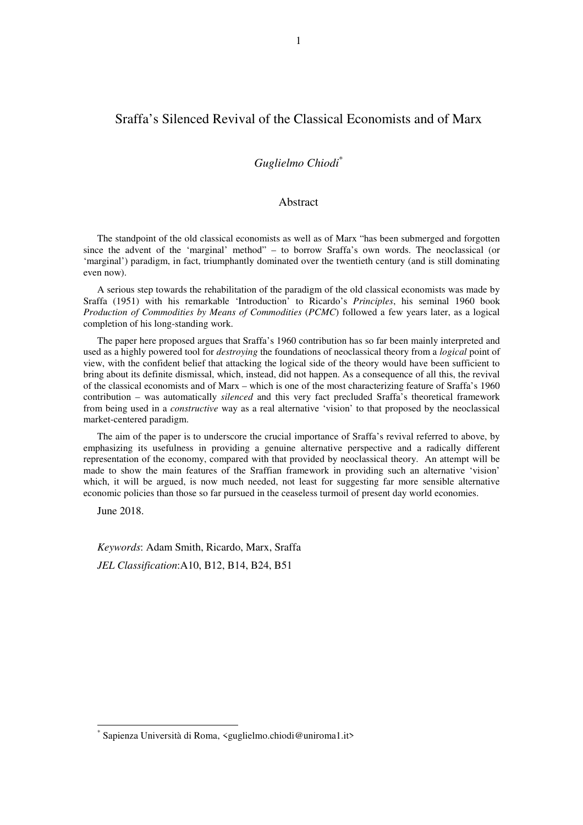## Sraffa's Silenced Revival of the Classical Economists and of Marx

### *Guglielmo Chiodi*\*

#### Abstract

The standpoint of the old classical economists as well as of Marx "has been submerged and forgotten since the advent of the 'marginal' method" – to borrow Sraffa's own words. The neoclassical (or 'marginal') paradigm, in fact, triumphantly dominated over the twentieth century (and is still dominating even now).

A serious step towards the rehabilitation of the paradigm of the old classical economists was made by Sraffa (1951) with his remarkable 'Introduction' to Ricardo's *Principles*, his seminal 1960 book *Production of Commodities by Means of Commodities* (*PCMC*) followed a few years later, as a logical completion of his long-standing work.

The paper here proposed argues that Sraffa's 1960 contribution has so far been mainly interpreted and used as a highly powered tool for *destroying* the foundations of neoclassical theory from a *logical* point of view, with the confident belief that attacking the logical side of the theory would have been sufficient to bring about its definite dismissal, which, instead, did not happen. As a consequence of all this, the revival of the classical economists and of Marx – which is one of the most characterizing feature of Sraffa's 1960 contribution – was automatically *silenced* and this very fact precluded Sraffa's theoretical framework from being used in a *constructive* way as a real alternative 'vision' to that proposed by the neoclassical market-centered paradigm.

The aim of the paper is to underscore the crucial importance of Sraffa's revival referred to above, by emphasizing its usefulness in providing a genuine alternative perspective and a radically different representation of the economy, compared with that provided by neoclassical theory. An attempt will be made to show the main features of the Sraffian framework in providing such an alternative 'vision' which, it will be argued, is now much needed, not least for suggesting far more sensible alternative economic policies than those so far pursued in the ceaseless turmoil of present day world economies.

June 2018.

 $\overline{a}$ \*

*Keywords*: Adam Smith, Ricardo, Marx, Sraffa *JEL Classification*:A10, B12, B14, B24, B51

Sapienza Università di Roma, <guglielmo.chiodi@uniroma1.it>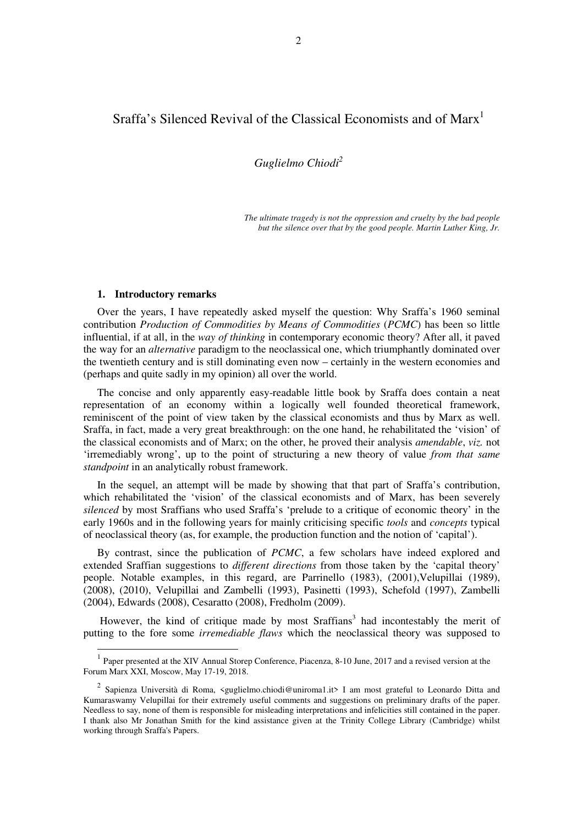## Sraffa's Silenced Revival of the Classical Economists and of Marx<sup>1</sup>

*Guglielmo Chiodi<sup>2</sup>*

*The ultimate tragedy is not the oppression and cruelty by the bad people but the silence over that by the good people. Martin Luther King, Jr.* 

#### **1. Introductory remarks**

 $\overline{a}$ 

Over the years, I have repeatedly asked myself the question: Why Sraffa's 1960 seminal contribution *Production of Commodities by Means of Commodities* (*PCMC*) has been so little influential, if at all, in the *way of thinking* in contemporary economic theory? After all, it paved the way for an *alternative* paradigm to the neoclassical one, which triumphantly dominated over the twentieth century and is still dominating even now – certainly in the western economies and (perhaps and quite sadly in my opinion) all over the world.

The concise and only apparently easy-readable little book by Sraffa does contain a neat representation of an economy within a logically well founded theoretical framework, reminiscent of the point of view taken by the classical economists and thus by Marx as well. Sraffa, in fact, made a very great breakthrough: on the one hand, he rehabilitated the 'vision' of the classical economists and of Marx; on the other, he proved their analysis *amendable*, *viz.* not 'irremediably wrong', up to the point of structuring a new theory of value *from that same standpoint* in an analytically robust framework.

In the sequel, an attempt will be made by showing that that part of Sraffa's contribution, which rehabilitated the 'vision' of the classical economists and of Marx, has been severely *silenced* by most Sraffians who used Sraffa's 'prelude to a critique of economic theory' in the early 1960s and in the following years for mainly criticising specific *tools* and *concepts* typical of neoclassical theory (as, for example, the production function and the notion of 'capital').

By contrast, since the publication of *PCMC*, a few scholars have indeed explored and extended Sraffian suggestions to *different directions* from those taken by the 'capital theory' people. Notable examples, in this regard, are Parrinello (1983), (2001),Velupillai (1989), (2008), (2010), Velupillai and Zambelli (1993), Pasinetti (1993), Schefold (1997), Zambelli (2004), Edwards (2008), Cesaratto (2008), Fredholm (2009).

However, the kind of critique made by most Sraffians<sup>3</sup> had incontestably the merit of putting to the fore some *irremediable flaws* which the neoclassical theory was supposed to

<sup>&</sup>lt;sup>1</sup> Paper presented at the XIV Annual Storep Conference, Piacenza, 8-10 June, 2017 and a revised version at the Forum Marx XXI, Moscow, May 17-19, 2018.

<sup>&</sup>lt;sup>2</sup> Sapienza Università di Roma, <guglielmo.chiodi@uniroma1.it> I am most grateful to Leonardo Ditta and Kumaraswamy Velupillai for their extremely useful comments and suggestions on preliminary drafts of the paper. Needless to say, none of them is responsible for misleading interpretations and infelicities still contained in the paper. I thank also Mr Jonathan Smith for the kind assistance given at the Trinity College Library (Cambridge) whilst working through Sraffa's Papers.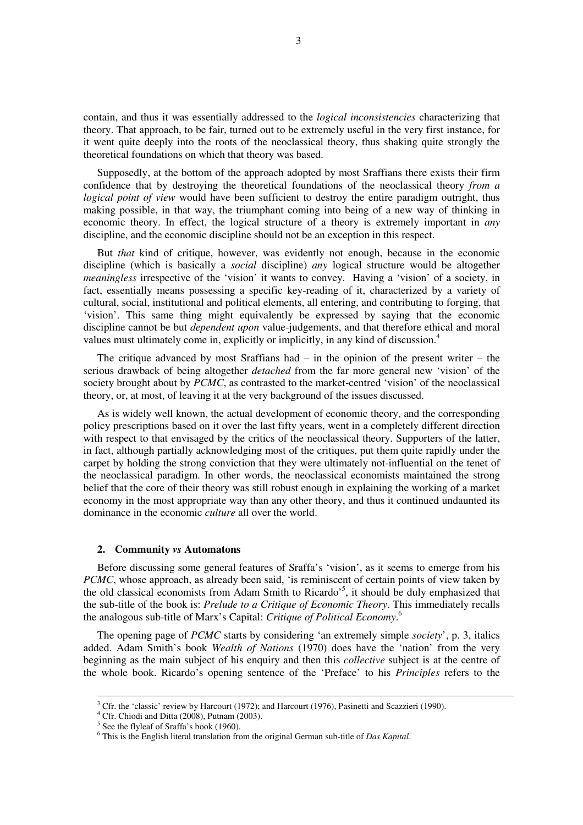contain, and thus it was essentially addressed to the *logical inconsistencies* characterizing that theory. That approach, to be fair, turned out to be extremely useful in the very first instance, for it went quite deeply into the roots of the neoclassical theory, thus shaking quite strongly the theoretical foundations on which that theory was based.

Supposedly, at the bottom of the approach adopted by most Sraffians there exists their firm confidence that by destroying the theoretical foundations of the neoclassical theory *from a logical point of view* would have been sufficient to destroy the entire paradigm outright, thus making possible, in that way, the triumphant coming into being of a new way of thinking in economic theory. In effect, the logical structure of a theory is extremely important in *any* discipline, and the economic discipline should not be an exception in this respect.

But *that* kind of critique, however, was evidently not enough, because in the economic discipline (which is basically a *social* discipline) *any* logical structure would be altogether *meaningless* irrespective of the 'vision' it wants to convey. Having a 'vision' of a society, in fact, essentially means possessing a specific key-reading of it, characterized by a variety of cultural, social, institutional and political elements, all entering, and contributing to forging, that 'vision'. This same thing might equivalently be expressed by saying that the economic discipline cannot be but *dependent upon* value-judgements, and that therefore ethical and moral values must ultimately come in, explicitly or implicitly, in any kind of discussion.<sup>4</sup>

The critique advanced by most Sraffians had  $-$  in the opinion of the present writer  $-$  the serious drawback of being altogether *detached* from the far more general new 'vision' of the society brought about by *PCMC*, as contrasted to the market-centred 'vision' of the neoclassical theory, or, at most, of leaving it at the very background of the issues discussed.

As is widely well known, the actual development of economic theory, and the corresponding policy prescriptions based on it over the last fifty years, went in a completely different direction with respect to that envisaged by the critics of the neoclassical theory. Supporters of the latter, in fact, although partially acknowledging most of the critiques, put them quite rapidly under the carpet by holding the strong conviction that they were ultimately not-influential on the tenet of the neoclassical paradigm. In other words, the neoclassical economists maintained the strong belief that the core of their theory was still robust enough in explaining the working of a market economy in the most appropriate way than any other theory, and thus it continued undaunted its dominance in the economic *culture* all over the world.

#### **2. Community** *vs* **Automatons**

Before discussing some general features of Sraffa's 'vision', as it seems to emerge from his *PCMC*, whose approach, as already been said, 'is reminiscent of certain points of view taken by the old classical economists from Adam Smith to Ricardo<sup>55</sup>, it should be duly emphasized that the sub-title of the book is: *Prelude to a Critique of Economic Theory*. This immediately recalls the analogous sub-title of Marx's Capital: *Critique of Political Economy*. 6

The opening page of *PCMC* starts by considering 'an extremely simple *society*', p. 3, italics added. Adam Smith's book *Wealth of Nations* (1970) does have the 'nation' from the very beginning as the main subject of his enquiry and then this *collective* subject is at the centre of the whole book. Ricardo's opening sentence of the 'Preface' to his *Principles* refers to the

<u>.</u>

 $3$  Cfr. the 'classic' review by Harcourt (1972); and Harcourt (1976), Pasinetti and Scazzieri (1990).

<sup>4</sup> Cfr. Chiodi and Ditta (2008), Putnam (2003).

 $<sup>5</sup>$  See the flyleaf of Sraffa's book (1960).</sup>

<sup>6</sup> This is the English literal translation from the original German sub-title of *Das Kapital*.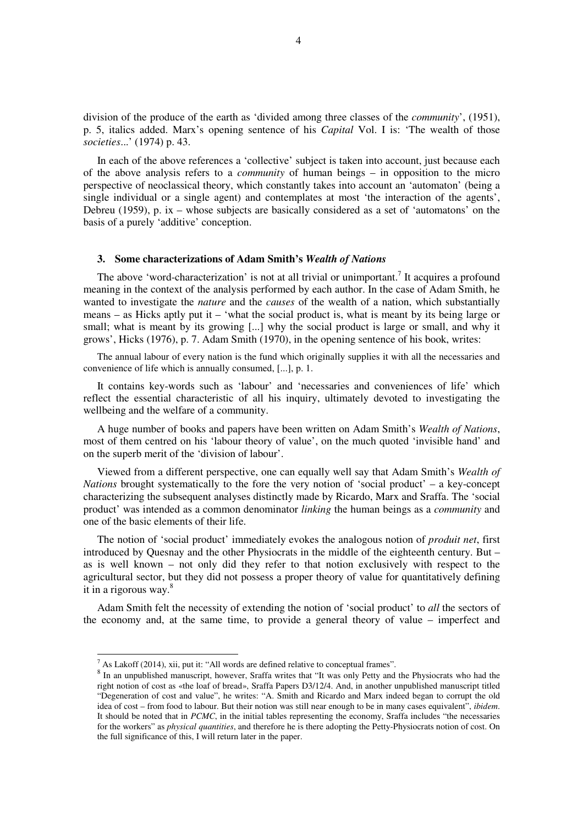division of the produce of the earth as 'divided among three classes of the *community*', (1951), p. 5, italics added. Marx's opening sentence of his *Capital* Vol. I is: 'The wealth of those *societies*...' (1974) p. 43.

In each of the above references a 'collective' subject is taken into account, just because each of the above analysis refers to a *community* of human beings – in opposition to the micro perspective of neoclassical theory, which constantly takes into account an 'automaton' (being a single individual or a single agent) and contemplates at most 'the interaction of the agents', Debreu (1959), p. ix – whose subjects are basically considered as a set of 'automatons' on the basis of a purely 'additive' conception.

#### **3. Some characterizations of Adam Smith's** *Wealth of Nations*

The above 'word-characterization' is not at all trivial or unimportant.<sup>7</sup> It acquires a profound meaning in the context of the analysis performed by each author. In the case of Adam Smith, he wanted to investigate the *nature* and the *causes* of the wealth of a nation, which substantially means – as Hicks aptly put it – 'what the social product is, what is meant by its being large or small; what is meant by its growing [...] why the social product is large or small, and why it grows', Hicks (1976), p. 7. Adam Smith (1970), in the opening sentence of his book, writes:

The annual labour of every nation is the fund which originally supplies it with all the necessaries and convenience of life which is annually consumed, [...], p. 1.

It contains key-words such as 'labour' and 'necessaries and conveniences of life' which reflect the essential characteristic of all his inquiry, ultimately devoted to investigating the wellbeing and the welfare of a community.

A huge number of books and papers have been written on Adam Smith's *Wealth of Nations*, most of them centred on his 'labour theory of value', on the much quoted 'invisible hand' and on the superb merit of the 'division of labour'.

Viewed from a different perspective, one can equally well say that Adam Smith's *Wealth of Nations* brought systematically to the fore the very notion of 'social product' – a key-concept characterizing the subsequent analyses distinctly made by Ricardo, Marx and Sraffa. The 'social product' was intended as a common denominator *linking* the human beings as a *community* and one of the basic elements of their life.

The notion of 'social product' immediately evokes the analogous notion of *produit net*, first introduced by Quesnay and the other Physiocrats in the middle of the eighteenth century. But – as is well known – not only did they refer to that notion exclusively with respect to the agricultural sector, but they did not possess a proper theory of value for quantitatively defining it in a rigorous way. $8$ 

Adam Smith felt the necessity of extending the notion of 'social product' to *all* the sectors of the economy and, at the same time, to provide a general theory of value – imperfect and

<sup>&</sup>lt;sup>7</sup> As Lakoff (2014), xii, put it: "All words are defined relative to conceptual frames".

<sup>&</sup>lt;sup>8</sup> In an unpublished manuscript, however, Sraffa writes that "It was only Petty and the Physiocrats who had the right notion of cost as «the loaf of bread», Sraffa Papers D3/12/4. And, in another unpublished manuscript titled "Degeneration of cost and value", he writes: "A. Smith and Ricardo and Marx indeed began to corrupt the old idea of cost – from food to labour. But their notion was still near enough to be in many cases equivalent", *ibidem*. It should be noted that in *PCMC*, in the initial tables representing the economy, Sraffa includes "the necessaries for the workers" as *physical quantities*, and therefore he is there adopting the Petty-Physiocrats notion of cost. On the full significance of this, I will return later in the paper.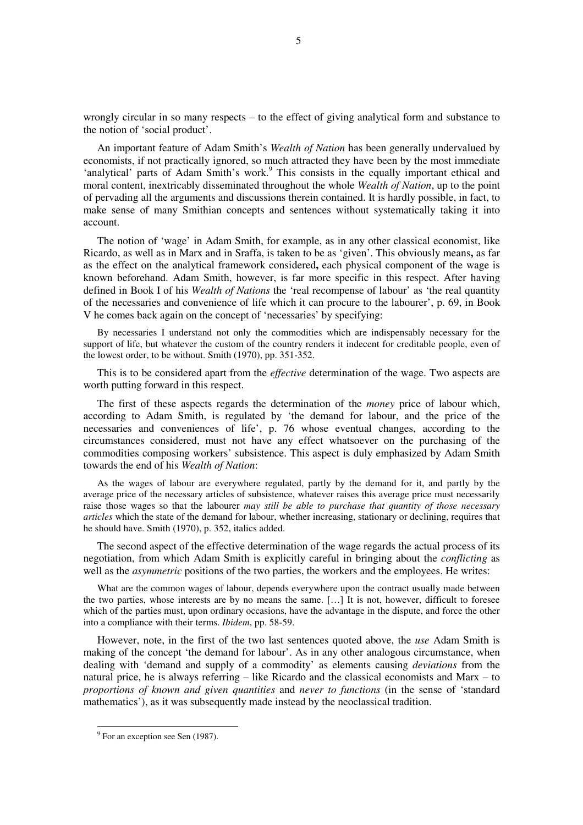wrongly circular in so many respects – to the effect of giving analytical form and substance to the notion of 'social product'.

An important feature of Adam Smith's *Wealth of Nation* has been generally undervalued by economists, if not practically ignored, so much attracted they have been by the most immediate 'analytical' parts of Adam Smith's work.<sup>9</sup> This consists in the equally important ethical and moral content, inextricably disseminated throughout the whole *Wealth of Nation*, up to the point of pervading all the arguments and discussions therein contained. It is hardly possible, in fact, to make sense of many Smithian concepts and sentences without systematically taking it into account.

The notion of 'wage' in Adam Smith, for example, as in any other classical economist, like Ricardo, as well as in Marx and in Sraffa, is taken to be as 'given'. This obviously means**,** as far as the effect on the analytical framework considered**,** each physical component of the wage is known beforehand. Adam Smith, however, is far more specific in this respect. After having defined in Book I of his *Wealth of Nations* the 'real recompense of labour' as 'the real quantity of the necessaries and convenience of life which it can procure to the labourer', p. 69, in Book V he comes back again on the concept of 'necessaries' by specifying:

By necessaries I understand not only the commodities which are indispensably necessary for the support of life, but whatever the custom of the country renders it indecent for creditable people, even of the lowest order, to be without. Smith (1970), pp. 351-352.

This is to be considered apart from the *effective* determination of the wage. Two aspects are worth putting forward in this respect.

The first of these aspects regards the determination of the *money* price of labour which, according to Adam Smith, is regulated by 'the demand for labour, and the price of the necessaries and conveniences of life', p. 76 whose eventual changes, according to the circumstances considered, must not have any effect whatsoever on the purchasing of the commodities composing workers' subsistence. This aspect is duly emphasized by Adam Smith towards the end of his *Wealth of Nation*:

As the wages of labour are everywhere regulated, partly by the demand for it, and partly by the average price of the necessary articles of subsistence, whatever raises this average price must necessarily raise those wages so that the labourer *may still be able to purchase that quantity of those necessary articles* which the state of the demand for labour, whether increasing, stationary or declining, requires that he should have. Smith (1970), p. 352, italics added.

The second aspect of the effective determination of the wage regards the actual process of its negotiation, from which Adam Smith is explicitly careful in bringing about the *conflicting* as well as the *asymmetric* positions of the two parties, the workers and the employees. He writes:

What are the common wages of labour, depends everywhere upon the contract usually made between the two parties, whose interests are by no means the same. […] It is not, however, difficult to foresee which of the parties must, upon ordinary occasions, have the advantage in the dispute, and force the other into a compliance with their terms. *Ibidem*, pp. 58-59.

However, note, in the first of the two last sentences quoted above, the *use* Adam Smith is making of the concept 'the demand for labour'. As in any other analogous circumstance, when dealing with 'demand and supply of a commodity' as elements causing *deviations* from the natural price, he is always referring – like Ricardo and the classical economists and Marx – to *proportions of known and given quantities* and *never to functions* (in the sense of 'standard mathematics'), as it was subsequently made instead by the neoclassical tradition.

<sup>&</sup>lt;sup>9</sup> For an exception see Sen (1987).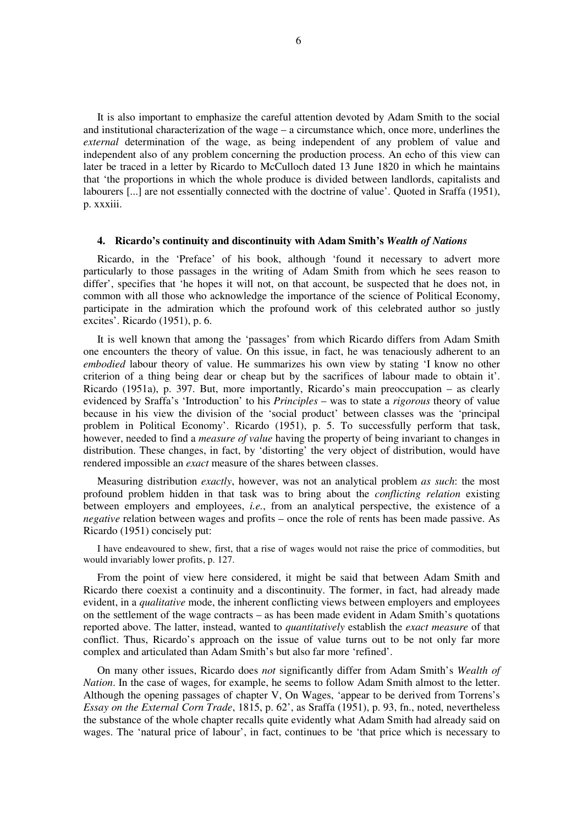It is also important to emphasize the careful attention devoted by Adam Smith to the social and institutional characterization of the wage – a circumstance which, once more, underlines the *external* determination of the wage, as being independent of any problem of value and independent also of any problem concerning the production process. An echo of this view can later be traced in a letter by Ricardo to McCulloch dated 13 June 1820 in which he maintains that 'the proportions in which the whole produce is divided between landlords, capitalists and labourers [...] are not essentially connected with the doctrine of value'. Quoted in Sraffa (1951), p. xxxiii.

#### **4. Ricardo's continuity and discontinuity with Adam Smith's** *Wealth of Nations*

Ricardo, in the 'Preface' of his book, although 'found it necessary to advert more particularly to those passages in the writing of Adam Smith from which he sees reason to differ', specifies that 'he hopes it will not, on that account, be suspected that he does not, in common with all those who acknowledge the importance of the science of Political Economy, participate in the admiration which the profound work of this celebrated author so justly excites'. Ricardo (1951), p. 6.

It is well known that among the 'passages' from which Ricardo differs from Adam Smith one encounters the theory of value. On this issue, in fact, he was tenaciously adherent to an *embodied* labour theory of value. He summarizes his own view by stating 'I know no other criterion of a thing being dear or cheap but by the sacrifices of labour made to obtain it'. Ricardo (1951a), p. 397. But, more importantly, Ricardo's main preoccupation – as clearly evidenced by Sraffa's 'Introduction' to his *Principles* – was to state a *rigorous* theory of value because in his view the division of the 'social product' between classes was the 'principal problem in Political Economy'. Ricardo (1951), p. 5. To successfully perform that task, however, needed to find a *measure of value* having the property of being invariant to changes in distribution. These changes, in fact, by 'distorting' the very object of distribution, would have rendered impossible an *exact* measure of the shares between classes.

Measuring distribution *exactly*, however, was not an analytical problem *as such*: the most profound problem hidden in that task was to bring about the *conflicting relation* existing between employers and employees, *i.e.*, from an analytical perspective, the existence of a *negative* relation between wages and profits – once the role of rents has been made passive. As Ricardo (1951) concisely put:

I have endeavoured to shew, first, that a rise of wages would not raise the price of commodities, but would invariably lower profits, p. 127.

From the point of view here considered, it might be said that between Adam Smith and Ricardo there coexist a continuity and a discontinuity. The former, in fact, had already made evident, in a *qualitative* mode, the inherent conflicting views between employers and employees on the settlement of the wage contracts – as has been made evident in Adam Smith's quotations reported above. The latter, instead, wanted to *quantitatively* establish the *exact measure* of that conflict. Thus, Ricardo's approach on the issue of value turns out to be not only far more complex and articulated than Adam Smith's but also far more 'refined'.

On many other issues, Ricardo does *not* significantly differ from Adam Smith's *Wealth of Nation*. In the case of wages, for example, he seems to follow Adam Smith almost to the letter. Although the opening passages of chapter V, On Wages, 'appear to be derived from Torrens's *Essay on the External Corn Trade*, 1815, p. 62', as Sraffa (1951), p. 93, fn., noted, nevertheless the substance of the whole chapter recalls quite evidently what Adam Smith had already said on wages. The 'natural price of labour', in fact, continues to be 'that price which is necessary to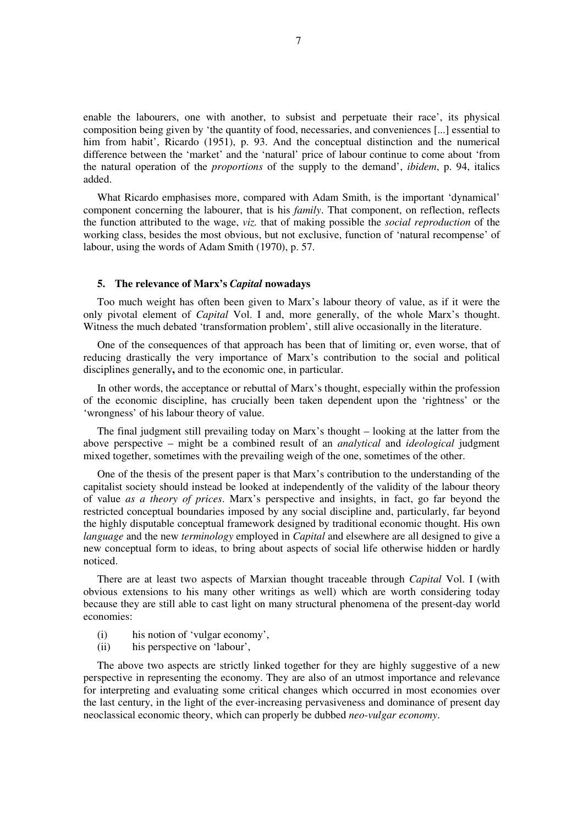enable the labourers, one with another, to subsist and perpetuate their race', its physical composition being given by 'the quantity of food, necessaries, and conveniences [...] essential to him from habit', Ricardo (1951), p. 93. And the conceptual distinction and the numerical difference between the 'market' and the 'natural' price of labour continue to come about 'from the natural operation of the *proportions* of the supply to the demand', *ibidem*, p. 94, italics added.

What Ricardo emphasises more, compared with Adam Smith, is the important 'dynamical' component concerning the labourer, that is his *family*. That component, on reflection, reflects the function attributed to the wage, *viz.* that of making possible the *social reproduction* of the working class, besides the most obvious, but not exclusive, function of 'natural recompense' of labour, using the words of Adam Smith (1970), p. 57.

#### **5. The relevance of Marx's** *Capital* **nowadays**

Too much weight has often been given to Marx's labour theory of value, as if it were the only pivotal element of *Capital* Vol. I and, more generally, of the whole Marx's thought. Witness the much debated 'transformation problem', still alive occasionally in the literature.

One of the consequences of that approach has been that of limiting or, even worse, that of reducing drastically the very importance of Marx's contribution to the social and political disciplines generally**,** and to the economic one, in particular.

In other words, the acceptance or rebuttal of Marx's thought, especially within the profession of the economic discipline, has crucially been taken dependent upon the 'rightness' or the 'wrongness' of his labour theory of value.

The final judgment still prevailing today on Marx's thought – looking at the latter from the above perspective – might be a combined result of an *analytical* and *ideological* judgment mixed together, sometimes with the prevailing weigh of the one, sometimes of the other.

One of the thesis of the present paper is that Marx's contribution to the understanding of the capitalist society should instead be looked at independently of the validity of the labour theory of value *as a theory of prices*. Marx's perspective and insights, in fact, go far beyond the restricted conceptual boundaries imposed by any social discipline and, particularly, far beyond the highly disputable conceptual framework designed by traditional economic thought. His own *language* and the new *terminology* employed in *Capital* and elsewhere are all designed to give a new conceptual form to ideas, to bring about aspects of social life otherwise hidden or hardly noticed.

There are at least two aspects of Marxian thought traceable through *Capital* Vol. I (with obvious extensions to his many other writings as well) which are worth considering today because they are still able to cast light on many structural phenomena of the present-day world economies:

- (i) his notion of 'vulgar economy',
- (ii) his perspective on 'labour',

The above two aspects are strictly linked together for they are highly suggestive of a new perspective in representing the economy. They are also of an utmost importance and relevance for interpreting and evaluating some critical changes which occurred in most economies over the last century, in the light of the ever-increasing pervasiveness and dominance of present day neoclassical economic theory, which can properly be dubbed *neo-vulgar economy*.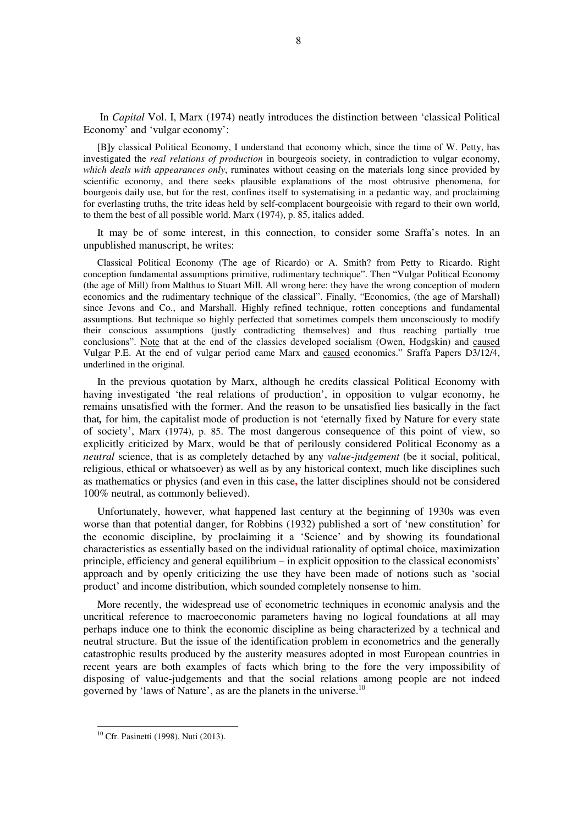In *Capital* Vol. I, Marx (1974) neatly introduces the distinction between 'classical Political Economy' and 'vulgar economy':

[B**]**y classical Political Economy, I understand that economy which, since the time of W. Petty, has investigated the *real relations of production* in bourgeois society, in contradiction to vulgar economy, *which deals with appearances only*, ruminates without ceasing on the materials long since provided by scientific economy, and there seeks plausible explanations of the most obtrusive phenomena, for bourgeois daily use, but for the rest, confines itself to systematising in a pedantic way, and proclaiming for everlasting truths, the trite ideas held by self-complacent bourgeoisie with regard to their own world, to them the best of all possible world. Marx (1974), p. 85, italics added.

It may be of some interest, in this connection, to consider some Sraffa's notes. In an unpublished manuscript, he writes:

Classical Political Economy (The age of Ricardo) or A. Smith? from Petty to Ricardo. Right conception fundamental assumptions primitive, rudimentary technique". Then "Vulgar Political Economy (the age of Mill) from Malthus to Stuart Mill. All wrong here: they have the wrong conception of modern economics and the rudimentary technique of the classical". Finally, "Economics, (the age of Marshall) since Jevons and Co., and Marshall. Highly refined technique, rotten conceptions and fundamental assumptions. But technique so highly perfected that sometimes compels them unconsciously to modify their conscious assumptions (justly contradicting themselves) and thus reaching partially true conclusions". Note that at the end of the classics developed socialism (Owen, Hodgskin) and caused Vulgar P.E. At the end of vulgar period came Marx and caused economics." Sraffa Papers D3/12/4, underlined in the original.

In the previous quotation by Marx, although he credits classical Political Economy with having investigated 'the real relations of production', in opposition to vulgar economy, he remains unsatisfied with the former. And the reason to be unsatisfied lies basically in the fact that*,* for him, the capitalist mode of production is not 'eternally fixed by Nature for every state of society', Marx (1974), p. 85. The most dangerous consequence of this point of view, so explicitly criticized by Marx, would be that of perilously considered Political Economy as a *neutral* science, that is as completely detached by any *value-judgement* (be it social, political, religious, ethical or whatsoever) as well as by any historical context, much like disciplines such as mathematics or physics (and even in this case**,** the latter disciplines should not be considered 100% neutral, as commonly believed).

Unfortunately, however, what happened last century at the beginning of 1930s was even worse than that potential danger, for Robbins (1932) published a sort of 'new constitution' for the economic discipline, by proclaiming it a 'Science' and by showing its foundational characteristics as essentially based on the individual rationality of optimal choice, maximization principle, efficiency and general equilibrium – in explicit opposition to the classical economists' approach and by openly criticizing the use they have been made of notions such as 'social product' and income distribution, which sounded completely nonsense to him.

More recently, the widespread use of econometric techniques in economic analysis and the uncritical reference to macroeconomic parameters having no logical foundations at all may perhaps induce one to think the economic discipline as being characterized by a technical and neutral structure. But the issue of the identification problem in econometrics and the generally catastrophic results produced by the austerity measures adopted in most European countries in recent years are both examples of facts which bring to the fore the very impossibility of disposing of value-judgements and that the social relations among people are not indeed governed by 'laws of Nature', as are the planets in the universe.<sup>10</sup>

8

<sup>10</sup> Cfr. Pasinetti (1998), Nuti (2013).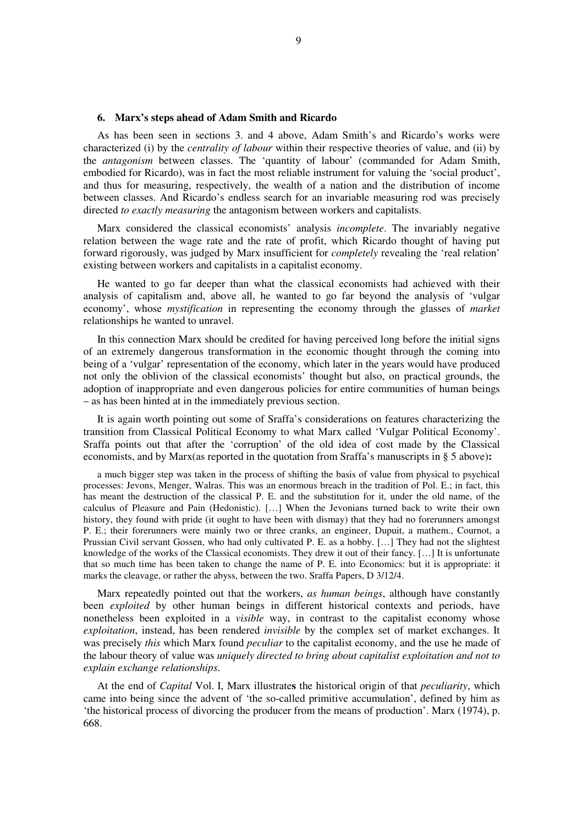#### **6. Marx's steps ahead of Adam Smith and Ricardo**

As has been seen in sections 3. and 4 above, Adam Smith's and Ricardo's works were characterized (i) by the *centrality of labour* within their respective theories of value, and (ii) by the *antagonism* between classes. The 'quantity of labour' (commanded for Adam Smith, embodied for Ricardo), was in fact the most reliable instrument for valuing the 'social product', and thus for measuring, respectively, the wealth of a nation and the distribution of income between classes. And Ricardo's endless search for an invariable measuring rod was precisely directed *to exactly measuring* the antagonism between workers and capitalists.

Marx considered the classical economists' analysis *incomplete*. The invariably negative relation between the wage rate and the rate of profit, which Ricardo thought of having put forward rigorously, was judged by Marx insufficient for *completely* revealing the 'real relation' existing between workers and capitalists in a capitalist economy.

He wanted to go far deeper than what the classical economists had achieved with their analysis of capitalism and, above all, he wanted to go far beyond the analysis of 'vulgar economy', whose *mystification* in representing the economy through the glasses of *market*  relationships he wanted to unravel.

In this connection Marx should be credited for having perceived long before the initial signs of an extremely dangerous transformation in the economic thought through the coming into being of a 'vulgar' representation of the economy, which later in the years would have produced not only the oblivion of the classical economists' thought but also, on practical grounds, the adoption of inappropriate and even dangerous policies for entire communities of human beings – as has been hinted at in the immediately previous section.

It is again worth pointing out some of Sraffa's considerations on features characterizing the transition from Classical Political Economy to what Marx called 'Vulgar Political Economy'. Sraffa points out that after the 'corruption' of the old idea of cost made by the Classical economists, and by Marx(as reported in the quotation from Sraffa's manuscripts in § 5 above)**:**

a much bigger step was taken in the process of shifting the basis of value from physical to psychical processes: Jevons, Menger, Walras. This was an enormous breach in the tradition of Pol. E.; in fact, this has meant the destruction of the classical P. E. and the substitution for it, under the old name, of the calculus of Pleasure and Pain (Hedonistic). […] When the Jevonians turned back to write their own history, they found with pride (it ought to have been with dismay) that they had no forerunners amongst P. E.; their forerunners were mainly two or three cranks, an engineer, Dupuit, a mathem., Cournot, a Prussian Civil servant Gossen, who had only cultivated P. E. as a hobby. […] They had not the slightest knowledge of the works of the Classical economists. They drew it out of their fancy. […] It is unfortunate that so much time has been taken to change the name of P. E. into Economics: but it is appropriate: it marks the cleavage, or rather the abyss, between the two. Sraffa Papers, D 3/12/4.

Marx repeatedly pointed out that the workers, *as human beings*, although have constantly been *exploited* by other human beings in different historical contexts and periods, have nonetheless been exploited in a *visible* way, in contrast to the capitalist economy whose *exploitation*, instead, has been rendered *invisible* by the complex set of market exchanges. It was precisely *this* which Marx found *peculiar* to the capitalist economy, and the use he made of the labour theory of value was *uniquely directed to bring about capitalist exploitation and not to explain exchange relationships*.

At the end of *Capital* Vol. I, Marx illustrate**s** the historical origin of that *peculiarity*, which came into being since the advent of 'the so-called primitive accumulation', defined by him as 'the historical process of divorcing the producer from the means of production'. Marx (1974), p. 668.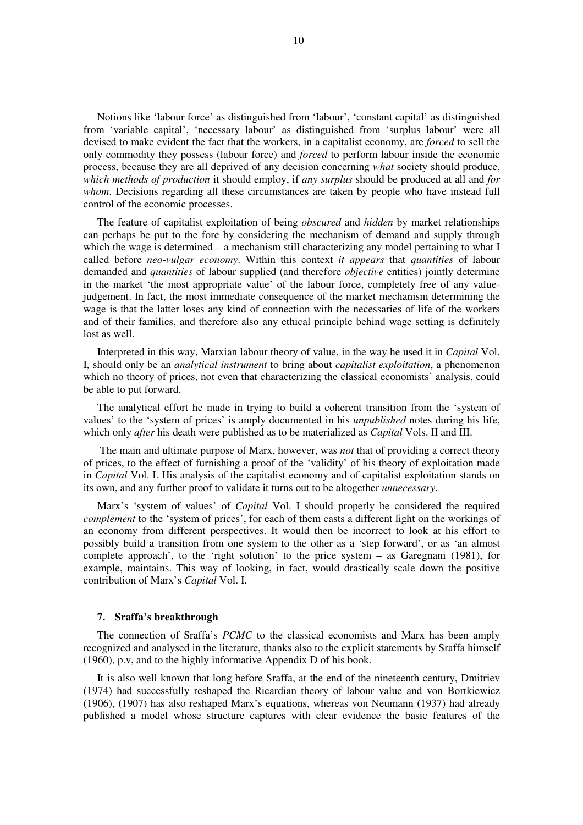Notions like 'labour force' as distinguished from 'labour', 'constant capital' as distinguished from 'variable capital', 'necessary labour' as distinguished from 'surplus labour' were all devised to make evident the fact that the workers, in a capitalist economy, are *forced* to sell the only commodity they possess (labour force) and *forced* to perform labour inside the economic process, because they are all deprived of any decision concerning *what* society should produce, *which methods of production* it should employ, if *any surplus* should be produced at all and *for whom*. Decisions regarding all these circumstances are taken by people who have instead full control of the economic processes.

The feature of capitalist exploitation of being *obscured* and *hidden* by market relationships can perhaps be put to the fore by considering the mechanism of demand and supply through which the wage is determined – a mechanism still characterizing any model pertaining to what I called before *neo-vulgar economy*. Within this context *it appears* that *quantities* of labour demanded and *quantities* of labour supplied (and therefore *objective* entities) jointly determine in the market 'the most appropriate value' of the labour force, completely free of any valuejudgement. In fact, the most immediate consequence of the market mechanism determining the wage is that the latter loses any kind of connection with the necessaries of life of the workers and of their families, and therefore also any ethical principle behind wage setting is definitely lost as well.

Interpreted in this way, Marxian labour theory of value, in the way he used it in *Capital* Vol. I, should only be an *analytical instrument* to bring about *capitalist exploitation*, a phenomenon which no theory of prices, not even that characterizing the classical economists' analysis, could be able to put forward.

The analytical effort he made in trying to build a coherent transition from the 'system of values' to the 'system of prices' is amply documented in his *unpublished* notes during his life, which only *after* his death were published as to be materialized as *Capital* Vols. II and III.

 The main and ultimate purpose of Marx, however, was *not* that of providing a correct theory of prices, to the effect of furnishing a proof of the 'validity' of his theory of exploitation made in *Capital* Vol. I. His analysis of the capitalist economy and of capitalist exploitation stands on its own, and any further proof to validate it turns out to be altogether *unnecessary*.

Marx's 'system of values' of *Capital* Vol. I should properly be considered the required *complement* to the 'system of prices', for each of them casts a different light on the workings of an economy from different perspectives. It would then be incorrect to look at his effort to possibly build a transition from one system to the other as a 'step forward', or as 'an almost complete approach', to the 'right solution' to the price system – as Garegnani (1981), for example, maintains. This way of looking, in fact, would drastically scale down the positive contribution of Marx's *Capital* Vol. I.

#### **7. Sraffa's breakthrough**

The connection of Sraffa's *PCMC* to the classical economists and Marx has been amply recognized and analysed in the literature, thanks also to the explicit statements by Sraffa himself (1960), p.v, and to the highly informative Appendix D of his book.

It is also well known that long before Sraffa, at the end of the nineteenth century, Dmitriev (1974) had successfully reshaped the Ricardian theory of labour value and von Bortkiewicz (1906), (1907) has also reshaped Marx's equations, whereas von Neumann (1937) had already published a model whose structure captures with clear evidence the basic features of the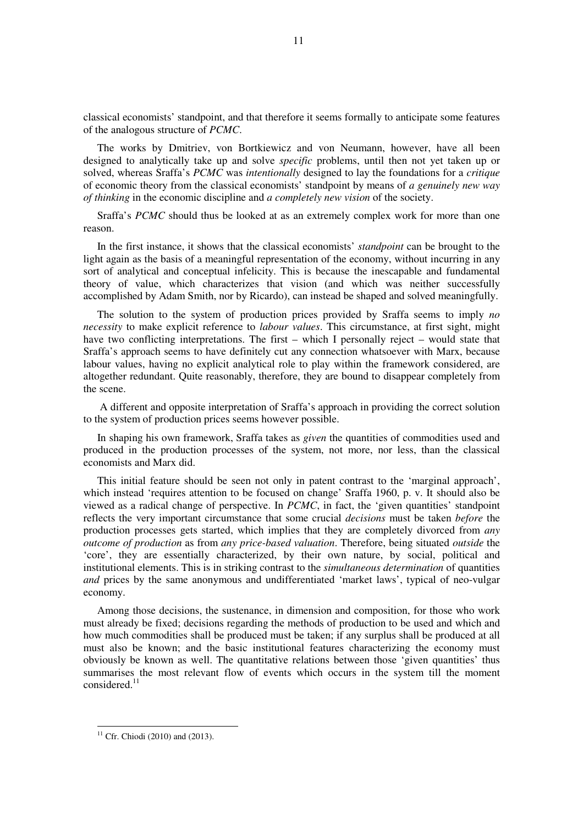classical economists' standpoint, and that therefore it seems formally to anticipate some features of the analogous structure of *PCMC*.

The works by Dmitriev, von Bortkiewicz and von Neumann, however, have all been designed to analytically take up and solve *specific* problems, until then not yet taken up or solved, whereas Sraffa's *PCMC* was *intentionally* designed to lay the foundations for a *critique* of economic theory from the classical economists' standpoint by means of *a genuinely new way of thinking* in the economic discipline and *a completely new vision* of the society.

Sraffa's *PCMC* should thus be looked at as an extremely complex work for more than one reason.

In the first instance, it shows that the classical economists' *standpoint* can be brought to the light again as the basis of a meaningful representation of the economy, without incurring in any sort of analytical and conceptual infelicity. This is because the inescapable and fundamental theory of value, which characterizes that vision (and which was neither successfully accomplished by Adam Smith, nor by Ricardo), can instead be shaped and solved meaningfully.

The solution to the system of production prices provided by Sraffa seems to imply *no necessity* to make explicit reference to *labour values*. This circumstance, at first sight, might have two conflicting interpretations. The first – which I personally reject – would state that Sraffa's approach seems to have definitely cut any connection whatsoever with Marx, because labour values, having no explicit analytical role to play within the framework considered, are altogether redundant. Quite reasonably, therefore, they are bound to disappear completely from the scene.

 A different and opposite interpretation of Sraffa's approach in providing the correct solution to the system of production prices seems however possible.

In shaping his own framework, Sraffa takes as *given* the quantities of commodities used and produced in the production processes of the system, not more, nor less, than the classical economists and Marx did.

This initial feature should be seen not only in patent contrast to the 'marginal approach', which instead 'requires attention to be focused on change' Sraffa 1960, p. v. It should also be viewed as a radical change of perspective. In *PCMC*, in fact, the 'given quantities' standpoint reflects the very important circumstance that some crucial *decisions* must be taken *before* the production processes gets started, which implies that they are completely divorced from *any outcome of production* as from *any price-based valuation*. Therefore, being situated *outside* the 'core', they are essentially characterized, by their own nature, by social, political and institutional elements. This is in striking contrast to the *simultaneous determination* of quantities *and* prices by the same anonymous and undifferentiated 'market laws', typical of neo-vulgar economy.

Among those decisions, the sustenance, in dimension and composition, for those who work must already be fixed; decisions regarding the methods of production to be used and which and how much commodities shall be produced must be taken; if any surplus shall be produced at all must also be known; and the basic institutional features characterizing the economy must obviously be known as well. The quantitative relations between those 'given quantities' thus summarises the most relevant flow of events which occurs in the system till the moment considered.<sup>11</sup>

 $11$  Cfr. Chiodi (2010) and (2013).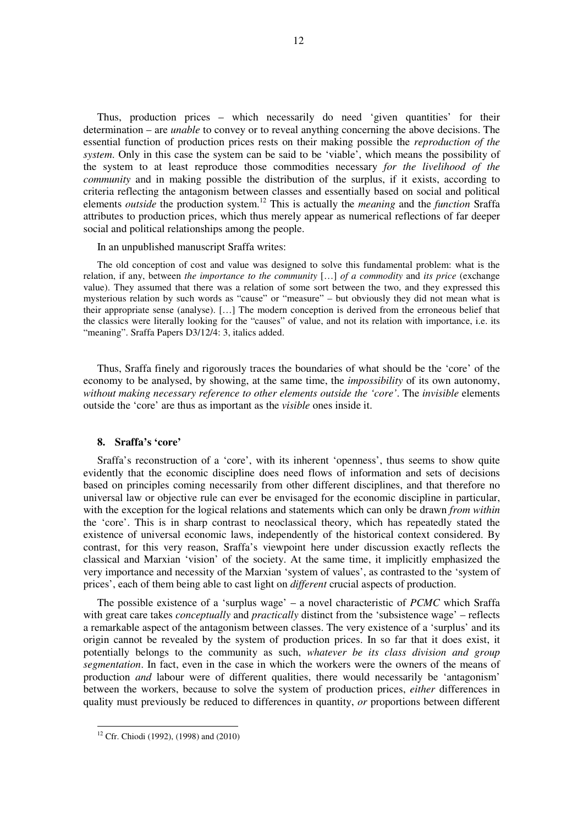Thus, production prices – which necessarily do need 'given quantities' for their determination – are *unable* to convey or to reveal anything concerning the above decisions. The essential function of production prices rests on their making possible the *reproduction of the system*. Only in this case the system can be said to be 'viable', which means the possibility of the system to at least reproduce those commodities necessary *for the livelihood of the community* and in making possible the distribution of the surplus, if it exists, according to criteria reflecting the antagonism between classes and essentially based on social and political elements *outside* the production system.<sup>12</sup> This is actually the *meaning* and the *function* Sraffa attributes to production prices, which thus merely appear as numerical reflections of far deeper social and political relationships among the people.

In an unpublished manuscript Sraffa writes:

The old conception of cost and value was designed to solve this fundamental problem: what is the relation, if any, between *the importance to the community* […] *of a commodity* and *its price* (exchange value). They assumed that there was a relation of some sort between the two, and they expressed this mysterious relation by such words as "cause" or "measure" – but obviously they did not mean what is their appropriate sense (analyse). […] The modern conception is derived from the erroneous belief that the classics were literally looking for the "causes" of value, and not its relation with importance, i.e. its "meaning". Sraffa Papers D3/12/4: 3, italics added.

Thus, Sraffa finely and rigorously traces the boundaries of what should be the 'core' of the economy to be analysed, by showing, at the same time, the *impossibility* of its own autonomy, *without making necessary reference to other elements outside the 'core'*. The *invisible* elements outside the 'core' are thus as important as the *visible* ones inside it.

#### **8. Sraffa's 'core'**

Sraffa's reconstruction of a 'core', with its inherent 'openness', thus seems to show quite evidently that the economic discipline does need flows of information and sets of decisions based on principles coming necessarily from other different disciplines, and that therefore no universal law or objective rule can ever be envisaged for the economic discipline in particular, with the exception for the logical relations and statements which can only be drawn *from within* the 'core'. This is in sharp contrast to neoclassical theory, which has repeatedly stated the existence of universal economic laws, independently of the historical context considered. By contrast, for this very reason, Sraffa's viewpoint here under discussion exactly reflects the classical and Marxian 'vision' of the society. At the same time, it implicitly emphasized the very importance and necessity of the Marxian 'system of values', as contrasted to the 'system of prices', each of them being able to cast light on *different* crucial aspects of production.

The possible existence of a 'surplus wage' – a novel characteristic of *PCMC* which Sraffa with great care takes *conceptually* and *practically* distinct from the 'subsistence wage' – reflects a remarkable aspect of the antagonism between classes. The very existence of a 'surplus' and its origin cannot be revealed by the system of production prices. In so far that it does exist, it potentially belongs to the community as such, *whatever be its class division and group segmentation*. In fact, even in the case in which the workers were the owners of the means of production *and* labour were of different qualities, there would necessarily be 'antagonism' between the workers, because to solve the system of production prices, *either* differences in quality must previously be reduced to differences in quantity, *or* proportions between different

<sup>12</sup> Cfr. Chiodi (1992), (1998) and (2010)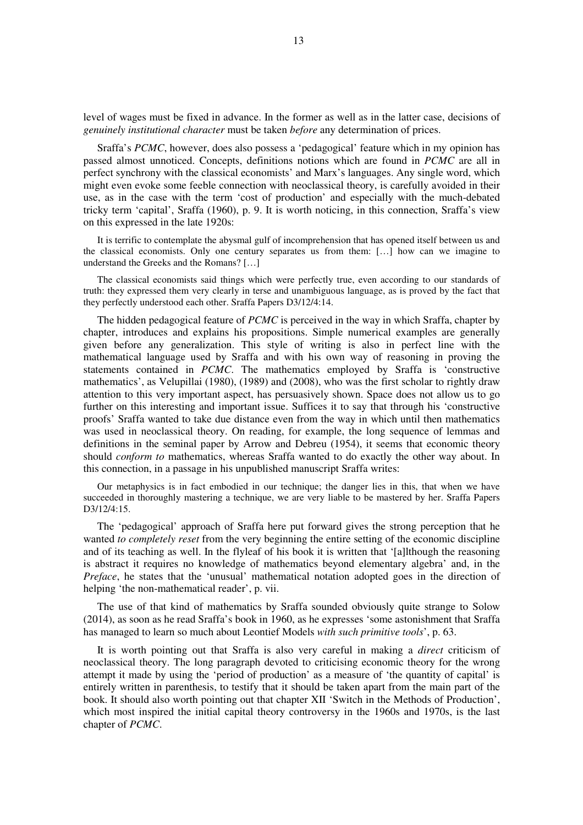level of wages must be fixed in advance. In the former as well as in the latter case, decisions of *genuinely institutional character* must be taken *before* any determination of prices.

Sraffa's *PCMC*, however, does also possess a 'pedagogical' feature which in my opinion has passed almost unnoticed. Concepts, definitions notions which are found in *PCMC* are all in perfect synchrony with the classical economists' and Marx's languages. Any single word, which might even evoke some feeble connection with neoclassical theory, is carefully avoided in their use, as in the case with the term 'cost of production' and especially with the much-debated tricky term 'capital', Sraffa (1960), p. 9. It is worth noticing, in this connection, Sraffa's view on this expressed in the late 1920s:

It is terrific to contemplate the abysmal gulf of incomprehension that has opened itself between us and the classical economists. Only one century separates us from them: […] how can we imagine to understand the Greeks and the Romans? […]

The classical economists said things which were perfectly true, even according to our standards of truth: they expressed them very clearly in terse and unambiguous language, as is proved by the fact that they perfectly understood each other. Sraffa Papers D3/12/4:14.

The hidden pedagogical feature of *PCMC* is perceived in the way in which Sraffa, chapter by chapter, introduces and explains his propositions. Simple numerical examples are generally given before any generalization. This style of writing is also in perfect line with the mathematical language used by Sraffa and with his own way of reasoning in proving the statements contained in *PCMC*. The mathematics employed by Sraffa is 'constructive mathematics', as Velupillai (1980), (1989) and (2008), who was the first scholar to rightly draw attention to this very important aspect, has persuasively shown. Space does not allow us to go further on this interesting and important issue. Suffices it to say that through his 'constructive proofs' Sraffa wanted to take due distance even from the way in which until then mathematics was used in neoclassical theory. On reading, for example, the long sequence of lemmas and definitions in the seminal paper by Arrow and Debreu (1954), it seems that economic theory should *conform to* mathematics, whereas Sraffa wanted to do exactly the other way about. In this connection, in a passage in his unpublished manuscript Sraffa writes:

Our metaphysics is in fact embodied in our technique; the danger lies in this, that when we have succeeded in thoroughly mastering a technique, we are very liable to be mastered by her. Sraffa Papers D3/12/4:15.

The 'pedagogical' approach of Sraffa here put forward gives the strong perception that he wanted *to completely reset* from the very beginning the entire setting of the economic discipline and of its teaching as well. In the flyleaf of his book it is written that '[a]lthough the reasoning is abstract it requires no knowledge of mathematics beyond elementary algebra' and, in the *Preface*, he states that the 'unusual' mathematical notation adopted goes in the direction of helping 'the non-mathematical reader', p. vii.

The use of that kind of mathematics by Sraffa sounded obviously quite strange to Solow (2014), as soon as he read Sraffa's book in 1960, as he expresses 'some astonishment that Sraffa has managed to learn so much about Leontief Models *with such primitive tools*', p. 63.

It is worth pointing out that Sraffa is also very careful in making a *direct* criticism of neoclassical theory. The long paragraph devoted to criticising economic theory for the wrong attempt it made by using the 'period of production' as a measure of 'the quantity of capital' is entirely written in parenthesis, to testify that it should be taken apart from the main part of the book. It should also worth pointing out that chapter XII 'Switch in the Methods of Production', which most inspired the initial capital theory controversy in the 1960s and 1970s, is the last chapter of *PCMC*.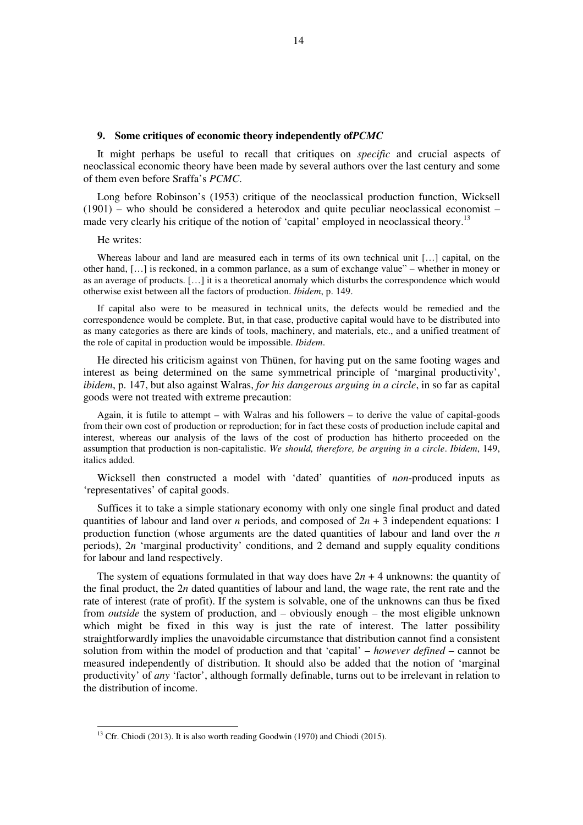#### **9. Some critiques of economic theory independently of***PCMC*

It might perhaps be useful to recall that critiques on *specific* and crucial aspects of neoclassical economic theory have been made by several authors over the last century and some of them even before Sraffa's *PCMC*.

Long before Robinson's (1953) critique of the neoclassical production function, Wicksell (1901) – who should be considered a heterodox and quite peculiar neoclassical economist – made very clearly his critique of the notion of 'capital' employed in neoclassical theory.<sup>13</sup>

#### He writes:

 $\overline{a}$ 

Whereas labour and land are measured each in terms of its own technical unit […] capital, on the other hand, […] is reckoned, in a common parlance, as a sum of exchange value" – whether in money or as an average of products. […] it is a theoretical anomaly which disturbs the correspondence which would otherwise exist between all the factors of production. *Ibidem*, p. 149.

If capital also were to be measured in technical units, the defects would be remedied and the correspondence would be complete. But, in that case, productive capital would have to be distributed into as many categories as there are kinds of tools, machinery, and materials, etc., and a unified treatment of the role of capital in production would be impossible. *Ibidem*.

He directed his criticism against von Thünen, for having put on the same footing wages and interest as being determined on the same symmetrical principle of 'marginal productivity', *ibidem*, p. 147, but also against Walras, *for his dangerous arguing in a circle*, in so far as capital goods were not treated with extreme precaution:

Again, it is futile to attempt – with Walras and his followers – to derive the value of capital-goods from their own cost of production or reproduction; for in fact these costs of production include capital and interest, whereas our analysis of the laws of the cost of production has hitherto proceeded on the assumption that production is non-capitalistic. *We should, therefore, be arguing in a circle*. *Ibidem*, 149, italics added.

Wicksell then constructed a model with 'dated' quantities of *non*-produced inputs as 'representatives' of capital goods.

Suffices it to take a simple stationary economy with only one single final product and dated quantities of labour and land over *n* periods, and composed of 2*n* + 3 independent equations: 1 production function (whose arguments are the dated quantities of labour and land over the *n* periods), 2*n* 'marginal productivity' conditions, and 2 demand and supply equality conditions for labour and land respectively.

The system of equations formulated in that way does have  $2n + 4$  unknowns: the quantity of the final product, the 2*n* dated quantities of labour and land, the wage rate, the rent rate and the rate of interest (rate of profit). If the system is solvable, one of the unknowns can thus be fixed from *outside* the system of production, and – obviously enough – the most eligible unknown which might be fixed in this way is just the rate of interest. The latter possibility straightforwardly implies the unavoidable circumstance that distribution cannot find a consistent solution from within the model of production and that 'capital' – *however defined* – cannot be measured independently of distribution. It should also be added that the notion of 'marginal productivity' of *any* 'factor', although formally definable, turns out to be irrelevant in relation to the distribution of income.

<sup>&</sup>lt;sup>13</sup> Cfr. Chiodi (2013). It is also worth reading Goodwin (1970) and Chiodi (2015).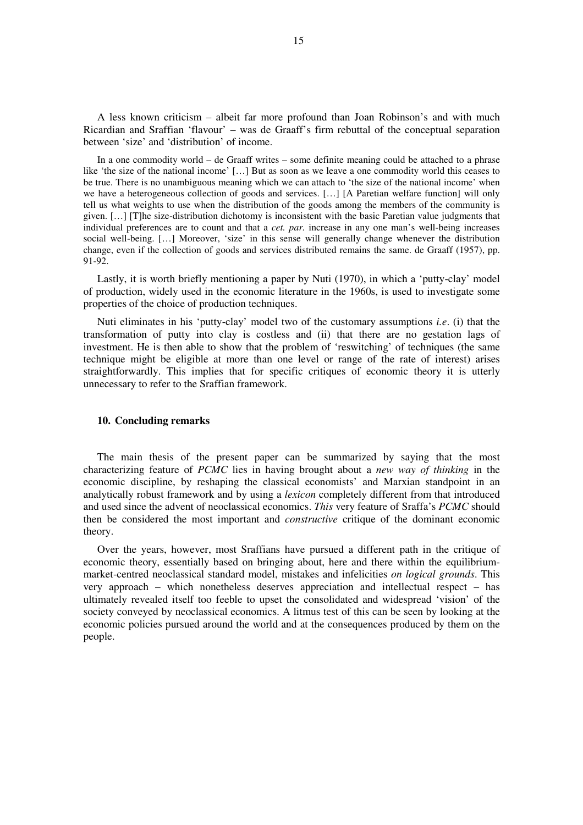A less known criticism – albeit far more profound than Joan Robinson's and with much Ricardian and Sraffian 'flavour' – was de Graaff's firm rebuttal of the conceptual separation between 'size' and 'distribution' of income.

In a one commodity world – de Graaff writes – some definite meaning could be attached to a phrase like 'the size of the national income' […] But as soon as we leave a one commodity world this ceases to be true. There is no unambiguous meaning which we can attach to 'the size of the national income' when we have a heterogeneous collection of goods and services. […] [A Paretian welfare function] will only tell us what weights to use when the distribution of the goods among the members of the community is given. […] [T]he size-distribution dichotomy is inconsistent with the basic Paretian value judgments that individual preferences are to count and that a *cet. par.* increase in any one man's well-being increases social well-being. […] Moreover, 'size' in this sense will generally change whenever the distribution change, even if the collection of goods and services distributed remains the same. de Graaff (1957), pp. 91-92.

Lastly, it is worth briefly mentioning a paper by Nuti (1970), in which a 'putty-clay' model of production, widely used in the economic literature in the 1960s, is used to investigate some properties of the choice of production techniques.

Nuti eliminates in his 'putty-clay' model two of the customary assumptions *i.e*. (i) that the transformation of putty into clay is costless and (ii) that there are no gestation lags of investment. He is then able to show that the problem of 'reswitching' of techniques (the same technique might be eligible at more than one level or range of the rate of interest) arises straightforwardly. This implies that for specific critiques of economic theory it is utterly unnecessary to refer to the Sraffian framework.

#### **10. Concluding remarks**

The main thesis of the present paper can be summarized by saying that the most characterizing feature of *PCMC* lies in having brought about a *new way of thinking* in the economic discipline, by reshaping the classical economists' and Marxian standpoint in an analytically robust framework and by using a *lexicon* completely different from that introduced and used since the advent of neoclassical economics. *This* very feature of Sraffa's *PCMC* should then be considered the most important and *constructive* critique of the dominant economic theory.

Over the years, however, most Sraffians have pursued a different path in the critique of economic theory, essentially based on bringing about, here and there within the equilibriummarket-centred neoclassical standard model, mistakes and infelicities *on logical grounds*. This very approach – which nonetheless deserves appreciation and intellectual respect – has ultimately revealed itself too feeble to upset the consolidated and widespread 'vision' of the society conveyed by neoclassical economics. A litmus test of this can be seen by looking at the economic policies pursued around the world and at the consequences produced by them on the people.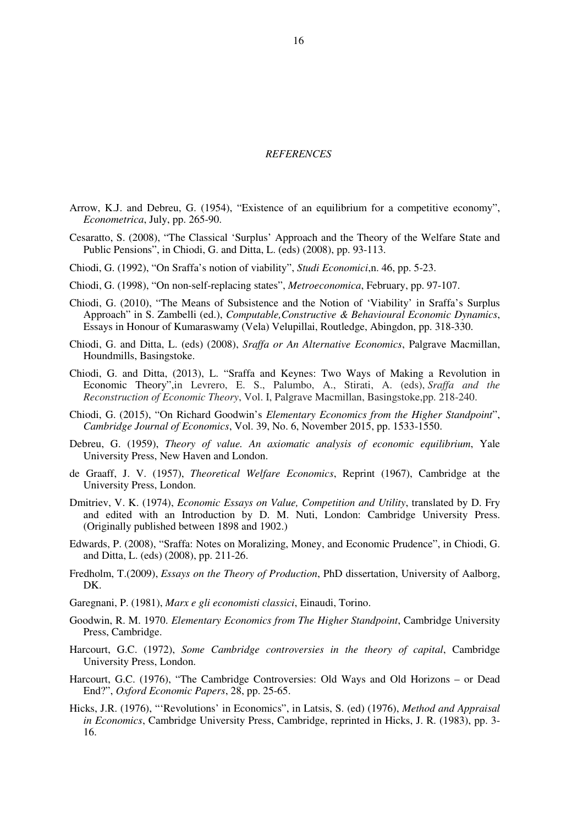#### *REFERENCES*

- Arrow, K.J. and Debreu, G. (1954), "Existence of an equilibrium for a competitive economy", *Econometrica*, July, pp. 265-90.
- Cesaratto, S. (2008), "The Classical 'Surplus' Approach and the Theory of the Welfare State and Public Pensions", in Chiodi, G. and Ditta, L. (eds) (2008), pp. 93-113.
- Chiodi, G. (1992), "On Sraffa's notion of viability", *Studi Economici*,n. 46, pp. 5-23.
- Chiodi, G. (1998), "On non-self-replacing states", *Metroeconomica*, February, pp. 97-107.
- Chiodi, G. (2010), "The Means of Subsistence and the Notion of 'Viability' in Sraffa's Surplus Approach" in S. Zambelli (ed.), *Computable,Constructive & Behavioural Economic Dynamics*, Essays in Honour of Kumaraswamy (Vela) Velupillai, Routledge, Abingdon, pp. 318-330.
- Chiodi, G. and Ditta, L. (eds) (2008), *Sraffa or An Alternative Economics*, Palgrave Macmillan, Houndmills, Basingstoke.
- Chiodi, G. and Ditta, (2013), L. "Sraffa and Keynes: Two Ways of Making a Revolution in Economic Theory",in Levrero, E. S., Palumbo, A., Stirati, A. (eds), *Sraffa and the Reconstruction of Economic Theory*, Vol. I, Palgrave Macmillan, Basingstoke,pp. 218-240.
- Chiodi, G. (2015), "On Richard Goodwin's *Elementary Economics from the Higher Standpoint*", *Cambridge Journal of Economics*, Vol. 39, No. 6, November 2015, pp. 1533-1550.
- Debreu, G. (1959), *Theory of value. An axiomatic analysis of economic equilibrium*, Yale University Press, New Haven and London.
- de Graaff, J. V. (1957), *Theoretical Welfare Economics*, Reprint (1967), Cambridge at the University Press, London.
- Dmitriev, V. K. (1974), *Economic Essays on Value, Competition and Utility*, translated by D. Fry and edited with an Introduction by D. M. Nuti, London: Cambridge University Press. (Originally published between 1898 and 1902.)
- Edwards, P. (2008), "Sraffa: Notes on Moralizing, Money, and Economic Prudence", in Chiodi, G. and Ditta, L. (eds) (2008), pp. 211-26.
- Fredholm, T.(2009), *Essays on the Theory of Production*, PhD dissertation, University of Aalborg, DK.
- Garegnani, P. (1981), *Marx e gli economisti classici*, Einaudi, Torino.
- Goodwin, R. M. 1970. *Elementary Economics from The Higher Standpoint*, Cambridge University Press, Cambridge.
- Harcourt, G.C. (1972), *Some Cambridge controversies in the theory of capital*, Cambridge University Press, London.
- Harcourt, G.C. (1976), "The Cambridge Controversies: Old Ways and Old Horizons or Dead End?", *Oxford Economic Papers*, 28, pp. 25-65.
- Hicks, J.R. (1976), "'Revolutions' in Economics", in Latsis, S. (ed) (1976), *Method and Appraisal in Economics*, Cambridge University Press, Cambridge, reprinted in Hicks, J. R. (1983), pp. 3- 16.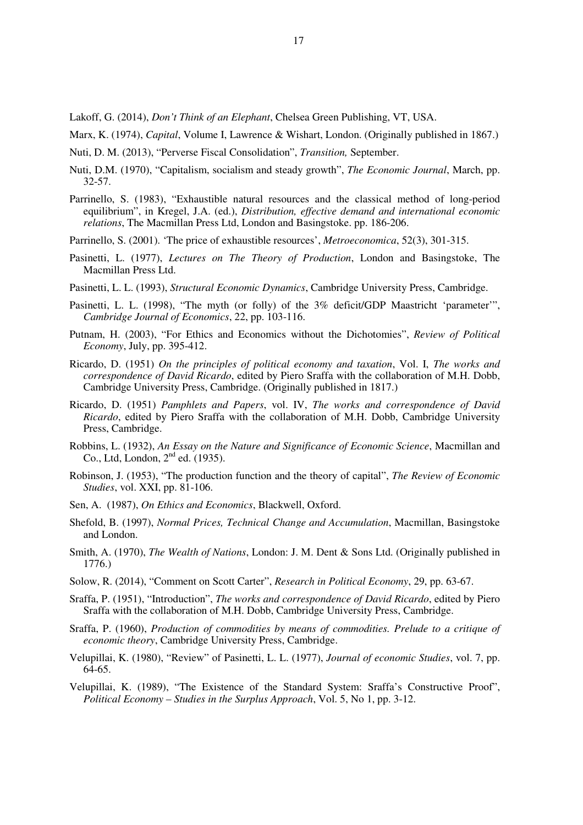Lakoff, G. (2014), *Don't Think of an Elephant*, Chelsea Green Publishing, VT, USA.

- Marx, K. (1974), *Capital*, Volume I, Lawrence & Wishart, London. (Originally published in 1867.)
- Nuti, D. M. (2013), "Perverse Fiscal Consolidation", *Transition,* September.
- Nuti, D.M. (1970), "Capitalism, socialism and steady growth", *The Economic Journal*, March, pp. 32-57.
- Parrinello, S. (1983), "Exhaustible natural resources and the classical method of long-period equilibrium", in Kregel, J.A. (ed.), *Distribution, effective demand and international economic relations*, The Macmillan Press Ltd, London and Basingstoke. pp. 186-206.
- Parrinello, S. (2001). 'The price of exhaustible resources', *Metroeconomica*, 52(3), 301-315.
- Pasinetti, L. (1977), *Lectures on The Theory of Production*, London and Basingstoke, The Macmillan Press Ltd.
- Pasinetti, L. L. (1993), *Structural Economic Dynamics*, Cambridge University Press, Cambridge.
- Pasinetti, L. L. (1998), "The myth (or folly) of the 3% deficit/GDP Maastricht 'parameter'", *Cambridge Journal of Economics*, 22, pp. 103-116.
- Putnam, H. (2003), "For Ethics and Economics without the Dichotomies", *Review of Political Economy*, July, pp. 395-412.
- Ricardo, D. (1951) *On the principles of political economy and taxation*, Vol. I, *The works and correspondence of David Ricardo*, edited by Piero Sraffa with the collaboration of M.H. Dobb, Cambridge University Press, Cambridge. (Originally published in 1817.)
- Ricardo, D. (1951) *Pamphlets and Papers*, vol. IV, *The works and correspondence of David Ricardo*, edited by Piero Sraffa with the collaboration of M.H. Dobb, Cambridge University Press, Cambridge.
- Robbins, L. (1932), *An Essay on the Nature and Significance of Economic Science*, Macmillan and Co., Ltd, London,  $2<sup>nd</sup>$  ed. (1935).
- Robinson, J. (1953), "The production function and the theory of capital", *The Review of Economic Studies*, vol. XXI, pp. 81-106.
- Sen, A. (1987), *On Ethics and Economics*, Blackwell, Oxford.
- Shefold, B. (1997), *Normal Prices, Technical Change and Accumulation*, Macmillan, Basingstoke and London.
- Smith, A. (1970), *The Wealth of Nations*, London: J. M. Dent & Sons Ltd. (Originally published in 1776.)
- Solow, R. (2014), "Comment on Scott Carter", *Research in Political Economy*, 29, pp. 63-67.
- Sraffa, P. (1951), "Introduction", *The works and correspondence of David Ricardo*, edited by Piero Sraffa with the collaboration of M.H. Dobb, Cambridge University Press, Cambridge.
- Sraffa, P. (1960), *Production of commodities by means of commodities. Prelude to a critique of economic theory*, Cambridge University Press, Cambridge.
- Velupillai, K. (1980), "Review" of Pasinetti, L. L. (1977), *Journal of economic Studies*, vol. 7, pp. 64-65.
- Velupillai, K. (1989), "The Existence of the Standard System: Sraffa's Constructive Proof", *Political Economy – Studies in the Surplus Approach*, Vol. 5, No 1, pp. 3-12.